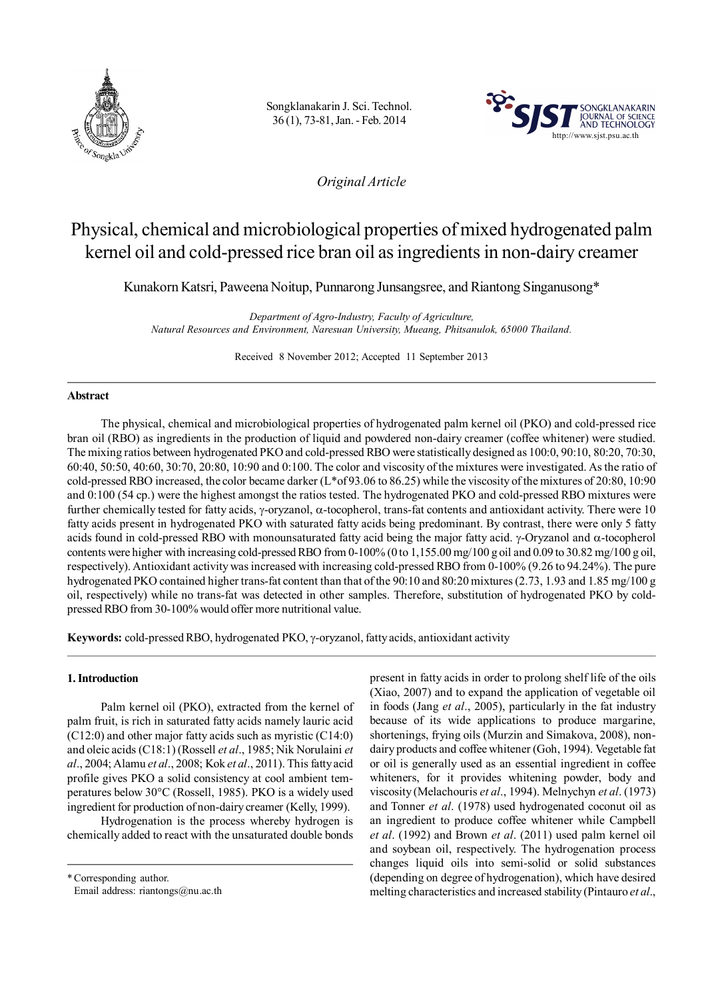

Songklanakarin J. Sci. Technol. 36 (1), 73-81, Jan. - Feb. 2014



## *Original Article*

# Physical, chemical and microbiological properties of mixed hydrogenated palm kernel oil and cold-pressed rice bran oil as ingredients in non-dairy creamer

Kunakorn Katsri, Paweena Noitup, Punnarong Junsangsree, and Riantong Singanusong\*

*Department of Agro-Industry, Faculty of Agriculture, Natural Resources and Environment, Naresuan University, Mueang, Phitsanulok, 65000 Thailand.*

Received 8 November 2012; Accepted 11 September 2013

## **Abstract**

The physical, chemical and microbiological properties of hydrogenated palm kernel oil (PKO) and cold-pressed rice bran oil (RBO) as ingredients in the production of liquid and powdered non-dairy creamer (coffee whitener) were studied. The mixing ratios between hydrogenated PKO and cold-pressed RBO were statistically designed as 100:0, 90:10, 80:20, 70:30, 60:40, 50:50, 40:60, 30:70, 20:80, 10:90 and 0:100. The color and viscosity of the mixtures were investigated. As the ratio of cold-pressed RBO increased, the color became darker (L\*of 93.06 to 86.25) while the viscosity of the mixtures of 20:80, 10:90 and 0:100 (54 cp.) were the highest amongst the ratios tested. The hydrogenated PKO and cold-pressed RBO mixtures were further chemically tested for fatty acids,  $\gamma$ -oryzanol,  $\alpha$ -tocopherol, trans-fat contents and antioxidant activity. There were 10 fatty acids present in hydrogenated PKO with saturated fatty acids being predominant. By contrast, there were only 5 fatty acids found in cold-pressed RBO with monounsaturated fatty acid being the major fatty acid.  $\gamma$ -Oryzanol and  $\alpha$ -tocopherol contents were higher with increasing cold-pressed RBO from 0-100% (0 to 1,155.00 mg/100 g oil and 0.09 to 30.82 mg/100 g oil, respectively). Antioxidant activity was increased with increasing cold-pressed RBO from 0-100% (9.26 to 94.24%). The pure hydrogenated PKO contained higher trans-fat content than that of the 90:10 and 80:20 mixtures (2.73, 1.93 and 1.85 mg/100 g oil, respectively) while no trans-fat was detected in other samples. Therefore, substitution of hydrogenated PKO by coldpressed RBO from 30-100% would offer more nutritional value.

Keywords: cold-pressed RBO, hydrogenated PKO,  $\gamma$ -oryzanol, fatty acids, antioxidant activity

## **1. Introduction**

Palm kernel oil (PKO), extracted from the kernel of palm fruit, is rich in saturated fatty acids namely lauric acid (C12:0) and other major fatty acids such as myristic (C14:0) and oleic acids (C18:1) (Rossell *et al*., 1985; Nik Norulaini *et al*., 2004; Alamu *et al*., 2008; Kok *et al*., 2011). This fatty acid profile gives PKO a solid consistency at cool ambient temperatures below 30°C (Rossell, 1985). PKO is a widely used ingredient for production of non-dairy creamer (Kelly, 1999).

Hydrogenation is the process whereby hydrogen is chemically added to react with the unsaturated double bonds

\*Corresponding author. Email address: riantongs@nu.ac.th present in fatty acids in order to prolong shelf life of the oils (Xiao, 2007) and to expand the application of vegetable oil in foods (Jang *et al*., 2005), particularly in the fat industry because of its wide applications to produce margarine, shortenings, frying oils (Murzin and Simakova, 2008), nondairy products and coffee whitener (Goh, 1994). Vegetable fat or oil is generally used as an essential ingredient in coffee whiteners, for it provides whitening powder, body and viscosity (Melachouris *et al*., 1994). Melnychyn *et al*. (1973) and Tonner *et al*. (1978) used hydrogenated coconut oil as an ingredient to produce coffee whitener while Campbell *et al*. (1992) and Brown *et al*. (2011) used palm kernel oil and soybean oil, respectively. The hydrogenation process changes liquid oils into semi-solid or solid substances (depending on degree of hydrogenation), which have desired melting characteristics and increased stability (Pintauro *et al*.,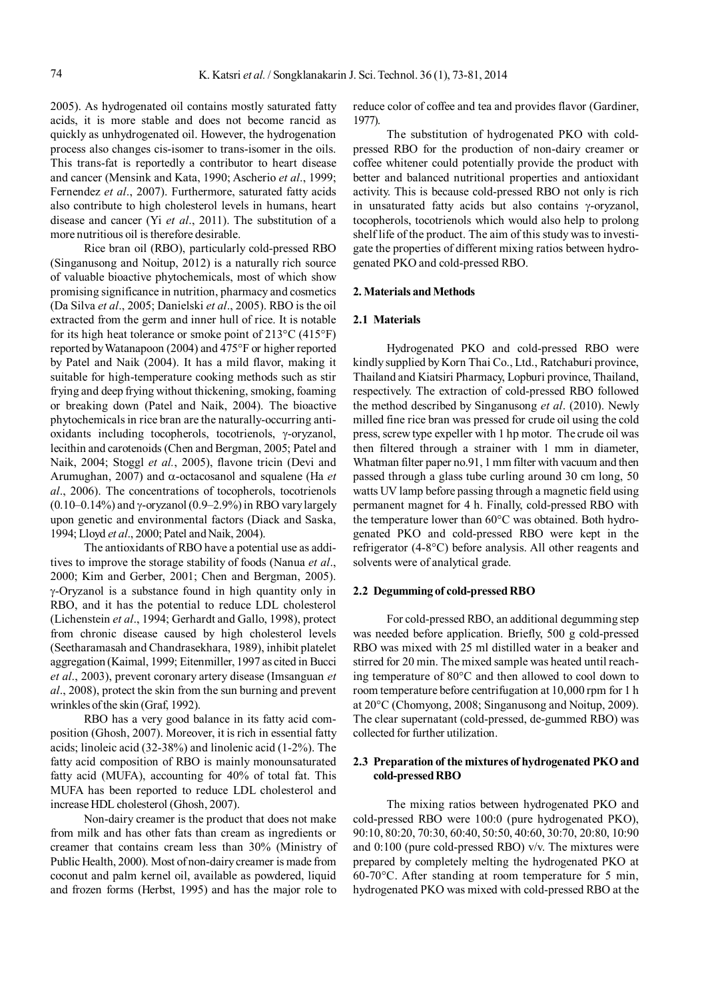2005). As hydrogenated oil contains mostly saturated fatty acids, it is more stable and does not become rancid as quickly as unhydrogenated oil. However, the hydrogenation process also changes cis-isomer to trans-isomer in the oils. This trans-fat is reportedly a contributor to heart disease and cancer (Mensink and Kata, 1990; Ascherio *et al*., 1999; Fernendez *et al*., 2007). Furthermore, saturated fatty acids also contribute to high cholesterol levels in humans, heart disease and cancer (Yi *et al*., 2011). The substitution of a more nutritious oil is therefore desirable.

Rice bran oil (RBO), particularly cold-pressed RBO (Singanusong and Noitup, 2012) is a naturally rich source of valuable bioactive phytochemicals, most of which show promising significance in nutrition, pharmacy and cosmetics (Da Silva *et al*., 2005; Danielski *et al*., 2005). RBO is the oil extracted from the germ and inner hull of rice. It is notable for its high heat tolerance or smoke point of 213°C (415°F) reported by Watanapoon (2004) and 475°F or higher reported by Patel and Naik (2004). It has a mild flavor, making it suitable for high-temperature cooking methods such as stir frying and deep frying without thickening, smoking, foaming or breaking down (Patel and Naik, 2004). The bioactive phytochemicals in rice bran are the naturally-occurring antioxidants including tocopherols, tocotrienols,  $\gamma$ -oryzanol, lecithin and carotenoids (Chen and Bergman, 2005; Patel and Naik, 2004; Stoggl *et al.*, 2005), flavone tricin (Devi and Arumughan, 2007) and  $\alpha$ -octacosanol and squalene (Ha *et al*., 2006). The concentrations of tocopherols, tocotrienols (0.10–0.14%) and  $\gamma$ -oryzanol (0.9–2.9%) in RBO vary largely upon genetic and environmental factors (Diack and Saska, 1994; Lloyd *et al*., 2000; Patel and Naik, 2004).

The antioxidants of RBO have a potential use as additives to improve the storage stability of foods (Nanua *et al*., 2000; Kim and Gerber, 2001; Chen and Bergman, 2005). -Oryzanol is a substance found in high quantity only in RBO, and it has the potential to reduce LDL cholesterol (Lichenstein *et al*., 1994; Gerhardt and Gallo, 1998), protect from chronic disease caused by high cholesterol levels (Seetharamasah and Chandrasekhara, 1989), inhibit platelet aggregation (Kaimal, 1999; Eitenmiller, 1997 as cited in Bucci *et al*., 2003), prevent coronary artery disease (Imsanguan *et al*., 2008), protect the skin from the sun burning and prevent wrinkles of the skin (Graf, 1992).

RBO has a very good balance in its fatty acid composition (Ghosh, 2007). Moreover, it is rich in essential fatty acids; linoleic acid (32-38%) and linolenic acid (1-2%). The fatty acid composition of RBO is mainly monounsaturated fatty acid (MUFA), accounting for 40% of total fat. This MUFA has been reported to reduce LDL cholesterol and increase HDL cholesterol (Ghosh, 2007).

Non-dairy creamer is the product that does not make from milk and has other fats than cream as ingredients or creamer that contains cream less than 30% (Ministry of Public Health, 2000). Most of non-dairy creamer is made from coconut and palm kernel oil, available as powdered, liquid and frozen forms (Herbst, 1995) and has the major role to

reduce color of coffee and tea and provides flavor (Gardiner, 1977).

The substitution of hydrogenated PKO with coldpressed RBO for the production of non-dairy creamer or coffee whitener could potentially provide the product with better and balanced nutritional properties and antioxidant activity. This is because cold-pressed RBO not only is rich in unsaturated fatty acids but also contains  $\gamma$ -oryzanol, tocopherols, tocotrienols which would also help to prolong shelf life of the product. The aim of this study was to investigate the properties of different mixing ratios between hydrogenated PKO and cold-pressed RBO.

#### **2. Materials and Methods**

#### **2.1 Materials**

Hydrogenated PKO and cold-pressed RBO were kindly supplied by Korn Thai Co., Ltd., Ratchaburi province, Thailand and Kiatsiri Pharmacy, Lopburi province, Thailand, respectively. The extraction of cold-pressed RBO followed the method described by Singanusong *et al*. (2010). Newly milled fine rice bran was pressed for crude oil using the cold press, screw type expeller with 1 hp motor. The crude oil was then filtered through a strainer with 1 mm in diameter, Whatman filter paper no.91, 1 mm filter with vacuum and then passed through a glass tube curling around 30 cm long, 50 watts UV lamp before passing through a magnetic field using permanent magnet for 4 h. Finally, cold-pressed RBO with the temperature lower than 60°C was obtained. Both hydrogenated PKO and cold-pressed RBO were kept in the refrigerator (4-8°C) before analysis. All other reagents and solvents were of analytical grade.

## **2.2 Degumming of cold-pressed RBO**

For cold-pressed RBO, an additional degumming step was needed before application. Briefly, 500 g cold-pressed RBO was mixed with 25 ml distilled water in a beaker and stirred for 20 min. The mixed sample was heated until reaching temperature of 80°C and then allowed to cool down to room temperature before centrifugation at 10,000 rpm for 1 h at 20°C (Chomyong, 2008; Singanusong and Noitup, 2009). The clear supernatant (cold-pressed, de-gummed RBO) was collected for further utilization.

## **2.3 Preparation of the mixtures of hydrogenated PKO and cold-pressed RBO**

The mixing ratios between hydrogenated PKO and cold-pressed RBO were 100:0 (pure hydrogenated PKO), 90:10, 80:20, 70:30, 60:40, 50:50, 40:60, 30:70, 20:80, 10:90 and 0:100 (pure cold-pressed RBO) v/v. The mixtures were prepared by completely melting the hydrogenated PKO at 60-70°C. After standing at room temperature for 5 min, hydrogenated PKO was mixed with cold-pressed RBO at the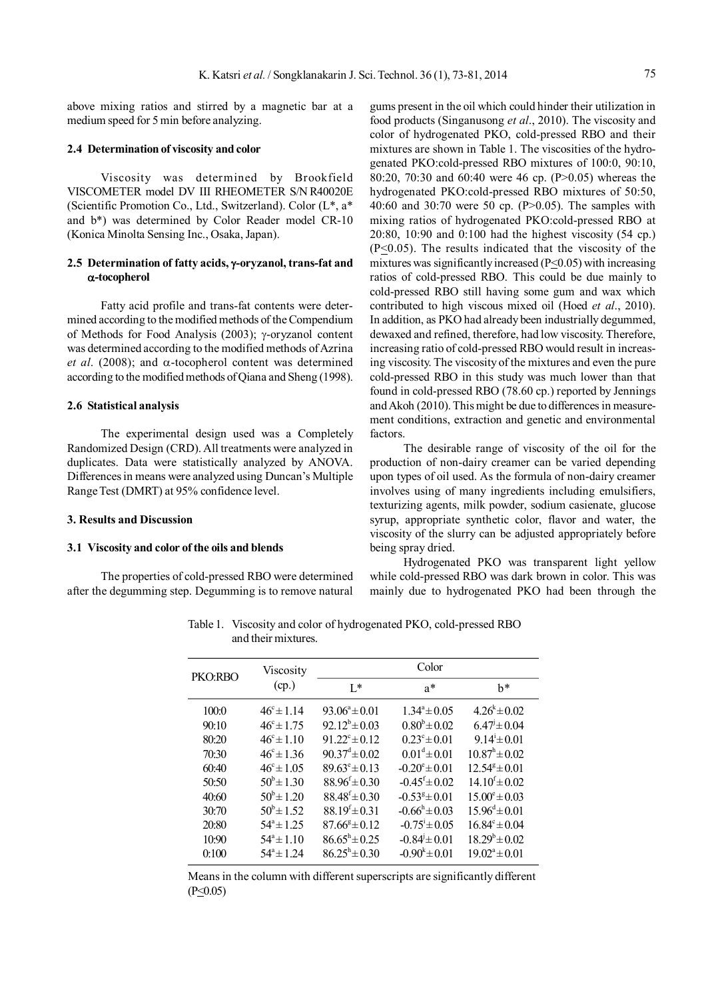above mixing ratios and stirred by a magnetic bar at a medium speed for 5 min before analyzing.

#### **2.4 Determination of viscosity and color**

Viscosity was determined by Brookfield VISCOMETER model DV III RHEOMETER S/N R40020E (Scientific Promotion Co., Ltd., Switzerland). Color (L\*, a\* and b\*) was determined by Color Reader model CR-10 (Konica Minolta Sensing Inc., Osaka, Japan).

## **2.5 Determination of fatty acids, -oryzanol, trans-fat and -tocopherol**

Fatty acid profile and trans-fat contents were determined according to the modified methods of the Compendium of Methods for Food Analysis (2003);  $\gamma$ -oryzanol content was determined according to the modified methods of Azrina *et al.* (2008); and  $\alpha$ -tocopherol content was determined according to the modified methods of Qiana and Sheng (1998).

#### **2.6 Statistical analysis**

The experimental design used was a Completely Randomized Design (CRD). All treatments were analyzed in duplicates. Data were statistically analyzed by ANOVA. Differences in means were analyzed using Duncan's Multiple Range Test (DMRT) at 95% confidence level.

#### **3. Results and Discussion**

#### **3.1 Viscosity and color of the oils and blends**

The properties of cold-pressed RBO were determined after the degumming step. Degumming is to remove natural gums present in the oil which could hinder their utilization in food products (Singanusong *et al*., 2010). The viscosity and color of hydrogenated PKO, cold-pressed RBO and their mixtures are shown in Table 1. The viscosities of the hydrogenated PKO:cold-pressed RBO mixtures of 100:0, 90:10, 80:20, 70:30 and 60:40 were 46 cp. (P>0.05) whereas the hydrogenated PKO:cold-pressed RBO mixtures of 50:50, 40:60 and 30:70 were 50 cp. (P>0.05). The samples with mixing ratios of hydrogenated PKO:cold-pressed RBO at 20:80, 10:90 and 0:100 had the highest viscosity (54 cp.)  $(P \le 0.05)$ . The results indicated that the viscosity of the mixtures was significantly increased  $(P \le 0.05)$  with increasing ratios of cold-pressed RBO. This could be due mainly to cold-pressed RBO still having some gum and wax which contributed to high viscous mixed oil (Hoed *et al*., 2010). In addition, as PKO had already been industrially degummed, dewaxed and refined, therefore, had low viscosity. Therefore, increasing ratio of cold-pressed RBO would result in increasing viscosity. The viscosity of the mixtures and even the pure cold-pressed RBO in this study was much lower than that found in cold-pressed RBO (78.60 cp.) reported by Jennings and Akoh (2010). This might be due to differences in measurement conditions, extraction and genetic and environmental factors.

The desirable range of viscosity of the oil for the production of non-dairy creamer can be varied depending upon types of oil used. As the formula of non-dairy creamer involves using of many ingredients including emulsifiers, texturizing agents, milk powder, sodium casienate, glucose syrup, appropriate synthetic color, flavor and water, the viscosity of the slurry can be adjusted appropriately before being spray dried.

Hydrogenated PKO was transparent light yellow while cold-pressed RBO was dark brown in color. This was mainly due to hydrogenated PKO had been through the

Color PKO:RBO  $L^*$  a<sup>\*</sup> b<sup>\*</sup> 100:0  $46^{\circ} \pm 1.14$   $93.06^{\circ} \pm 0.01$   $1.34^{\circ} \pm 0.05$   $4.26^{\circ} \pm 0.02$ 90:10  $46^{\circ} \pm 1.75$   $92.12^{\circ} \pm 0.03$   $0.80^{\circ} \pm 0.02$   $6.47^{\circ} \pm 0.04$ 80:20  $46^{\circ} \pm 1.10$   $91.22^{\circ} \pm 0.12$   $0.23^{\circ} \pm 0.01$   $9.14^{\circ} \pm 0.01$ 70:30  $46^{\circ} \pm 1.36$   $90.37^{\circ} \pm 0.02$   $0.01^{\circ} \pm 0.01$   $10.87^{\circ} \pm 0.02$ 60:40  $46^{\circ} \pm 1.05$   $89.63^{\circ} \pm 0.13$   $-0.20^{\circ} \pm 0.01$   $12.54^{\circ} \pm 0.01$ 50:50  $50^{\circ} \pm 1.30$   $88.96^{\circ} \pm 0.30$   $-0.45^{\circ} \pm 0.02$   $14.10^{\circ} \pm 0.02$ 40:60  $50^{\circ} \pm 1.20$   $88.48^{\circ} \pm 0.30$   $-0.53^{\circ} \pm 0.01$   $15.00^{\circ} \pm 0.03$  $30:70$   $50^b \pm 1.52$   $88.19^f \pm 0.31$   $-0.66^h \pm 0.03$   $15.96^d \pm 0.01$ 20:80  $54^{\circ} \pm 1.25$   $87.66^{\circ} \pm 0.12$   $-0.75^{\circ} \pm 0.05$   $16.84^{\circ} \pm 0.04$  $10:90$   $54^{\degree}\pm1.10$   $86.65^{\degree}\pm0.25$   $-0.84^{\degree}\pm0.01$   $18.29^{\degree}\pm0.02$ 0:100  $54^{\degree} \pm 1.24$   $86.25^{\degree} \pm 0.30$   $-0.90^{\degree} \pm 0.01$   $19.02^{\degree} \pm 0.01$ Viscosity (cp.)

Table 1. Viscosity and color of hydrogenated PKO, cold-pressed RBO and their mixtures.

Means in the column with different superscripts are significantly different  $(P<0.05)$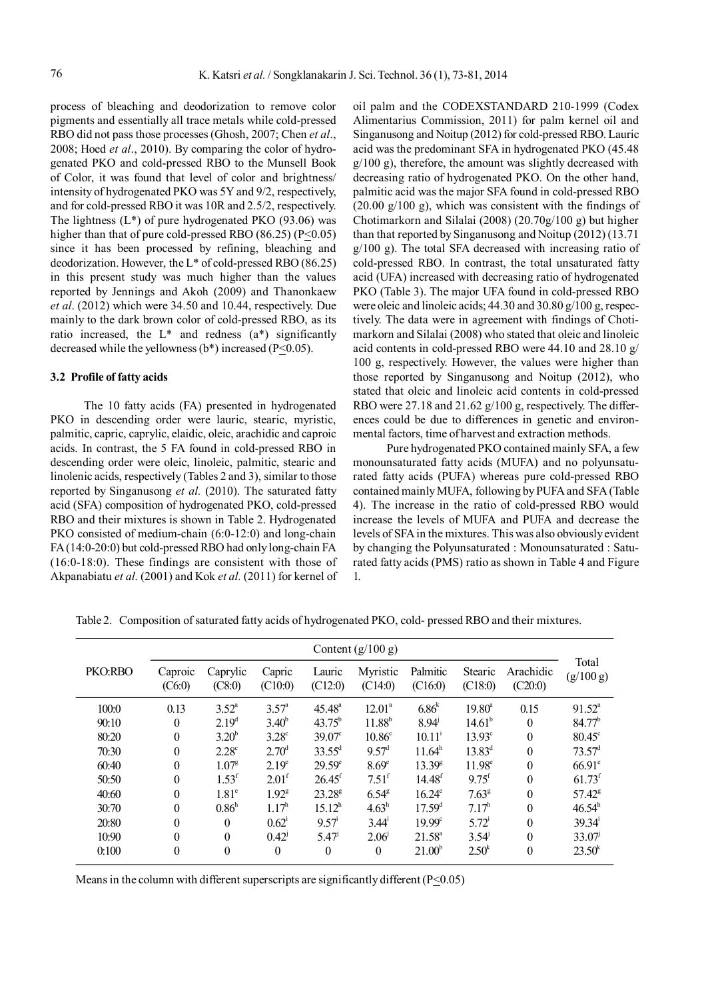process of bleaching and deodorization to remove color pigments and essentially all trace metals while cold-pressed RBO did not pass those processes (Ghosh, 2007; Chen *et al*., 2008; Hoed *et al*., 2010). By comparing the color of hydrogenated PKO and cold-pressed RBO to the Munsell Book of Color, it was found that level of color and brightness/ intensity of hydrogenated PKO was 5Y and 9/2, respectively, and for cold-pressed RBO it was 10R and 2.5/2, respectively. The lightness (L\*) of pure hydrogenated PKO (93.06) was higher than that of pure cold-pressed RBO (86.25) ( $P \le 0.05$ ) since it has been processed by refining, bleaching and deodorization. However, the L\* of cold-pressed RBO (86.25) in this present study was much higher than the values reported by Jennings and Akoh (2009) and Thanonkaew *et al*. (2012) which were 34.50 and 10.44, respectively. Due mainly to the dark brown color of cold-pressed RBO, as its ratio increased, the L\* and redness (a\*) significantly decreased while the yellowness (b\*) increased (P<0.05).

## **3.2 Profile of fatty acids**

The 10 fatty acids (FA) presented in hydrogenated PKO in descending order were lauric, stearic, myristic, palmitic, capric, caprylic, elaidic, oleic, arachidic and caproic acids. In contrast, the 5 FA found in cold-pressed RBO in descending order were oleic, linoleic, palmitic, stearic and linolenic acids, respectively (Tables 2 and 3), similar to those reported by Singanusong *et al.* (2010). The saturated fatty acid (SFA) composition of hydrogenated PKO, cold-pressed RBO and their mixtures is shown in Table 2. Hydrogenated PKO consisted of medium-chain (6:0-12:0) and long-chain FA (14:0-20:0) but cold-pressed RBO had only long-chain FA (16:0-18:0). These findings are consistent with those of Akpanabiatu *et al.* (2001) and Kok *et al.* (2011) for kernel of oil palm and the CODEXSTANDARD 210-1999 (Codex Alimentarius Commission, 2011) for palm kernel oil and Singanusong and Noitup (2012) for cold-pressed RBO. Lauric acid was the predominant SFA in hydrogenated PKO (45.48 g/100 g), therefore, the amount was slightly decreased with decreasing ratio of hydrogenated PKO. On the other hand, palmitic acid was the major SFA found in cold-pressed RBO  $(20.00 \text{ g}/100 \text{ g})$ , which was consistent with the findings of Chotimarkorn and Silalai (2008) (20.70g/100 g) but higher than that reported by Singanusong and Noitup (2012) (13.71 g/100 g). The total SFA decreased with increasing ratio of cold-pressed RBO. In contrast, the total unsaturated fatty acid (UFA) increased with decreasing ratio of hydrogenated PKO (Table 3). The major UFA found in cold-pressed RBO were oleic and linoleic acids; 44.30 and 30.80 g/100 g, respectively. The data were in agreement with findings of Chotimarkorn and Silalai (2008) who stated that oleic and linoleic acid contents in cold-pressed RBO were 44.10 and 28.10 g/ 100 g, respectively. However, the values were higher than those reported by Singanusong and Noitup (2012), who stated that oleic and linoleic acid contents in cold-pressed RBO were 27.18 and 21.62 g/100 g, respectively. The differences could be due to differences in genetic and environmental factors, time of harvest and extraction methods.

Pure hydrogenated PKO contained mainly SFA, a few monounsaturated fatty acids (MUFA) and no polyunsaturated fatty acids (PUFA) whereas pure cold-pressed RBO contained mainly MUFA, following by PUFA and SFA (Table 4). The increase in the ratio of cold-pressed RBO would increase the levels of MUFA and PUFA and decrease the levels of SFA in the mixtures. This was also obviously evident by changing the Polyunsaturated : Monounsaturated : Saturated fatty acids (PMS) ratio as shown in Table 4 and Figure 1.

|         | Content $(g/100 g)$ |                    |                   |                      |                     |                      |                     |                      |                      |
|---------|---------------------|--------------------|-------------------|----------------------|---------------------|----------------------|---------------------|----------------------|----------------------|
| PKO:RBO | Caproic<br>(C6:0)   | Caprylic<br>(C8:0) | Capric<br>(C10:0) | Lauric<br>(C12:0)    | Myristic<br>(C14:0) | Palmitic<br>(C16:0)  | Stearic<br>(C18:0)  | Arachidic<br>(C20:0) | Total<br>(g/100 g)   |
| 100:0   | 0.13                | $3.52^{\circ}$     | $3.57^{\circ}$    | $45.48^{\circ}$      | $12.01^a$           | $6.86^{k}$           | $19.80^{\circ}$     | 0.15                 | $91.52^a$            |
| 90:10   | $\boldsymbol{0}$    | 2.19 <sup>d</sup>  | $3.40^{b}$        | $43.75^{b}$          | $11.88^{b}$         | $8.94^{j}$           | 14.61 <sup>b</sup>  | $\theta$             | $84.77^{b}$          |
| 80:20   | $\boldsymbol{0}$    | $3.20^{b}$         | $3.28^{\circ}$    | $39.07^{\circ}$      | 10.86 <sup>c</sup>  | $10.11^{i}$          | $13.93^\circ$       | $\boldsymbol{0}$     | $80.45^{\circ}$      |
| 70:30   | $\boldsymbol{0}$    | 2.28 <sup>c</sup>  | $2.70^{\rm d}$    | $33.55^d$            | $9.57^{\rm d}$      | 11.64 <sup>h</sup>   | $13.83^{d}$         | $\theta$             | $73.57$ <sup>d</sup> |
| 60:40   | $\boldsymbol{0}$    | 1.07 <sup>g</sup>  | 2.19 <sup>e</sup> | $29.59^{\circ}$      | 8.69 <sup>e</sup>   | $13.39^{\text{g}}$   | $11.98^e$           | $\theta$             | $66.91^e$            |
| 50:50   | $\boldsymbol{0}$    | $1.53^{\rm f}$     | 2.01 <sup>f</sup> | $26.45$ <sup>f</sup> | $7.51^{\rm f}$      | $14.48$ <sup>f</sup> | $9.75$ <sup>f</sup> | $\boldsymbol{0}$     | $61.73$ <sup>f</sup> |
| 40:60   | $\theta$            | $1.81^\circ$       | 1.92 <sup>g</sup> | $23.28^{\rm g}$      | 6.54 <sup>g</sup>   | $16.24^e$            | $7.63^{\rm g}$      | $\theta$             | $57.42^8$            |
| 30:70   | $\boldsymbol{0}$    | 0.86 <sup>h</sup>  | $1.17^h$          | $15.12^h$            | $4.63^h$            | 17.59 <sup>d</sup>   | 7.17 <sup>h</sup>   | $\theta$             | $46.54^h$            |
| 20:80   | $\boldsymbol{0}$    | $\Omega$           | $0.62^{\circ}$    | $9.57$ <sup>1</sup>  | $3.44^{\circ}$      | $19.99^{\circ}$      | $5.72^{i}$          | $\theta$             | 39.34'               |
| 10:90   | $\boldsymbol{0}$    | $\Omega$           | $0.42^{j}$        | 5.47 <sup>j</sup>    | 2.06                | $21.58^{\circ}$      | $3.54^{\circ}$      | $\theta$             | 33.07                |
| 0:100   | $\boldsymbol{0}$    | $\theta$           | $\boldsymbol{0}$  | $\boldsymbol{0}$     | $\boldsymbol{0}$    | 21.00 <sup>b</sup>   | 2.50 <sup>k</sup>   | $\boldsymbol{0}$     | 23.50 <sup>k</sup>   |

Table 2. Composition of saturated fatty acids of hydrogenated PKO, cold- pressed RBO and their mixtures.

Means in the column with different superscripts are significantly different (P<0.05)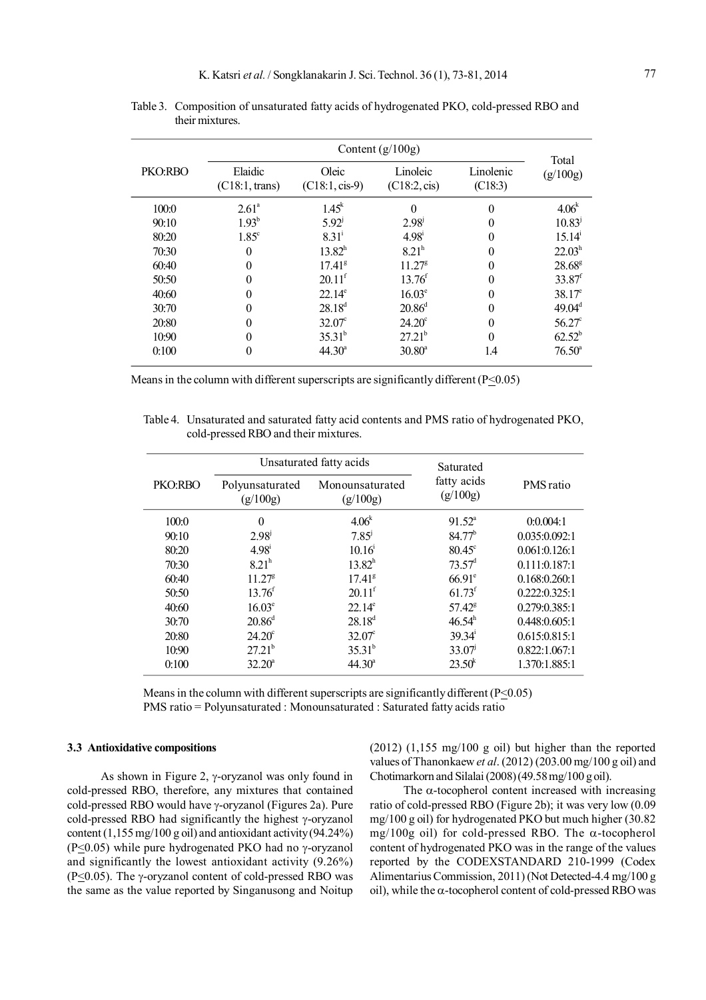|         |                           | Total                     |                          |                      |                    |
|---------|---------------------------|---------------------------|--------------------------|----------------------|--------------------|
| PKO:RBO | Elaidic<br>(C18:1, trans) | Oleic<br>$(C18:1, cis-9)$ | Linoleic<br>(C18:2, cis) | Linolenic<br>(C18:3) | (g/100g)           |
| 100:0   | $2.61^{\circ}$            | $1.45^k$                  | $\theta$                 | $\theta$             | 4.06 <sup>k</sup>  |
| 90:10   | $1.93^{b}$                | $5.92^{j}$                | $2.98^{\mathrm{J}}$      | $\theta$             | $10.83^{\circ}$    |
| 80:20   | $1.85^{\circ}$            | $8.31^{i}$                | $4.98^{\rm i}$           | $\theta$             | 15.14 <sup>1</sup> |
| 70:30   | $\Omega$                  | $13.82^h$                 | 8.21 <sup>h</sup>        | $\theta$             | 22.03 <sup>h</sup> |
| 60:40   |                           | $1741^{\circ}$            | $11.27^{\rm g}$          | $\Omega$             | $28.68^{\rm g}$    |
| 50:50   |                           | 20.11 <sup>f</sup>        | 13.76 <sup>f</sup>       | $\Omega$             | $33.87^t$          |
| 40:60   |                           | $22.14^e$                 | $16.03^e$                | $\theta$             | $38.17^e$          |
| 30:70   |                           | $28.18^{d}$               | $20.86^{\rm d}$          | $\Omega$             | 49.04 <sup>d</sup> |
| 20:80   |                           | $32.07^{\circ}$           | $24.20^{\circ}$          | $\Omega$             | $56.27^{\circ}$    |
| 10:90   |                           | $35.31^{b}$               | $27.21^{b}$              | $\Omega$             | $62.52^b$          |
| 0:100   | 0                         | $44.30^a$                 | $30.80^a$                | 1.4                  | $76.50^{\circ}$    |

Table 3. Composition of unsaturated fatty acids of hydrogenated PKO, cold-pressed RBO and their mixtures.

Means in the column with different superscripts are significantly different (P<0.05)

Table 4. Unsaturated and saturated fatty acid contents and PMS ratio of hydrogenated PKO, cold-pressed RBO and their mixtures.

|         |                             | Unsaturated fatty acids     | Saturated               | PMS ratio     |  |
|---------|-----------------------------|-----------------------------|-------------------------|---------------|--|
| PKO:RBO | Polyunsaturated<br>(g/100g) | Monounsaturated<br>(g/100g) | fatty acids<br>(g/100g) |               |  |
| 100:0   | $\theta$                    | 4.06 <sup>k</sup>           | $91.52^{\circ}$         | 0:0.004:1     |  |
| 90:10   | 2.98 <sup>j</sup>           | $7.85^{j}$                  | $84.77^{b}$             | 0.035:0.092:1 |  |
| 80:20   | $4.98^{\rm i}$              | $10.16^{\circ}$             | $80.45^{\circ}$         | 0.061:0.126:1 |  |
| 70:30   | 8.21 <sup>h</sup>           | $13.82^h$                   | $73.57$ <sup>d</sup>    | 0.111:0.187:1 |  |
| 60:40   | $11.27^{\rm g}$             | $17.41^{\rm g}$             | $66.91^{\circ}$         | 0.168:0.260:1 |  |
| 50:50   | $13.76^{\rm f}$             | $20.11$ <sup>f</sup>        | $61.73$ <sup>f</sup>    | 0.222:0.325:1 |  |
| 40:60   | $16.03^e$                   | $22.14^e$                   | $57.42^8$               | 0.279:0.385:1 |  |
| 30:70   | $20.86^{\rm d}$             | $28.18^{d}$                 | $46.54^h$               | 0.448:0.605:1 |  |
| 20:80   | $24.20^{\circ}$             | $32.07^{\circ}$             | $39.34^{\mathrm{i}}$    | 0.615:0.815:1 |  |
| 10:90   | $27.21^{b}$                 | $35.31^{b}$                 | $33.07^{\circ}$         | 0.822:1.067:1 |  |
| 0:100   | $32.20^a$                   | $44.30^a$                   | 23.50 <sup>k</sup>      | 1.370:1.885:1 |  |

Means in the column with different superscripts are significantly different ( $P \le 0.05$ ) PMS ratio = Polyunsaturated : Monounsaturated : Saturated fatty acids ratio

## **3.3 Antioxidative compositions**

As shown in Figure 2,  $\gamma$ -oryzanol was only found in cold-pressed RBO, therefore, any mixtures that contained cold-pressed RBO would have  $\gamma$ -oryzanol (Figures 2a). Pure cold-pressed RBO had significantly the highest  $\gamma$ -oryzanol content (1,155 mg/100 g oil) and antioxidant activity (94,24%) (P<0.05) while pure hydrogenated PKO had no  $\gamma$ -oryzanol and significantly the lowest antioxidant activity (9.26%) (P<0.05). The  $\gamma$ -oryzanol content of cold-pressed RBO was the same as the value reported by Singanusong and Noitup (2012) (1,155 mg/100 g oil) but higher than the reported values of Thanonkaew *et al*. (2012) (203.00 mg/100 g oil) and Chotimarkorn and Silalai (2008) (49.58 mg/100 g oil).

The  $\alpha$ -tocopherol content increased with increasing ratio of cold-pressed RBO (Figure 2b); it was very low (0.09 mg/100 g oil) for hydrogenated PKO but much higher (30.82  $mg/100g$  oil) for cold-pressed RBO. The  $\alpha$ -tocopherol content of hydrogenated PKO was in the range of the values reported by the CODEXSTANDARD 210-1999 (Codex Alimentarius Commission, 2011) (Not Detected-4.4 mg/100 g oil), while the  $\alpha$ -tocopherol content of cold-pressed RBO was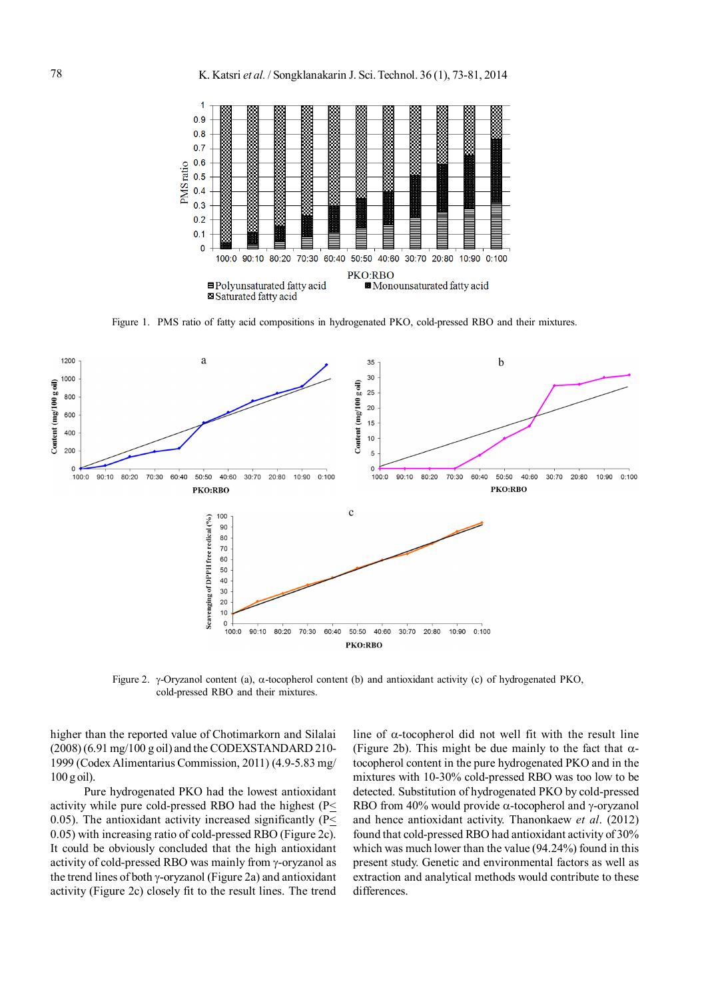

Figure 1. PMS ratio of fatty acid compositions in hydrogenated PKO, cold-pressed RBO and their mixtures.



Figure 2.  $\gamma$ -Oryzanol content (a),  $\alpha$ -tocopherol content (b) and antioxidant activity (c) of hydrogenated PKO, cold-pressed RBO and their mixtures.

higher than the reported value of Chotimarkorn and Silalai (2008) (6.91 mg/100 g oil) and the CODEXSTANDARD 210- 1999 (Codex Alimentarius Commission, 2011) (4.9-5.83 mg/ 100 g oil).

Pure hydrogenated PKO had the lowest antioxidant activity while pure cold-pressed RBO had the highest (P< 0.05). The antioxidant activity increased significantly  $(P<$ 0.05) with increasing ratio of cold-pressed RBO (Figure 2c). It could be obviously concluded that the high antioxidant activity of cold-pressed RBO was mainly from  $\gamma$ -oryzanol as the trend lines of both  $\gamma$ -oryzanol (Figure 2a) and antioxidant activity (Figure 2c) closely fit to the result lines. The trend line of  $\alpha$ -tocopherol did not well fit with the result line (Figure 2b). This might be due mainly to the fact that  $\alpha$ tocopherol content in the pure hydrogenated PKO and in the mixtures with 10-30% cold-pressed RBO was too low to be detected. Substitution of hydrogenated PKO by cold-pressed RBO from 40% would provide  $\alpha$ -tocopherol and  $\gamma$ -oryzanol and hence antioxidant activity. Thanonkaew *et al*. (2012) found that cold-pressed RBO had antioxidant activity of 30% which was much lower than the value (94.24%) found in this present study. Genetic and environmental factors as well as extraction and analytical methods would contribute to these differences.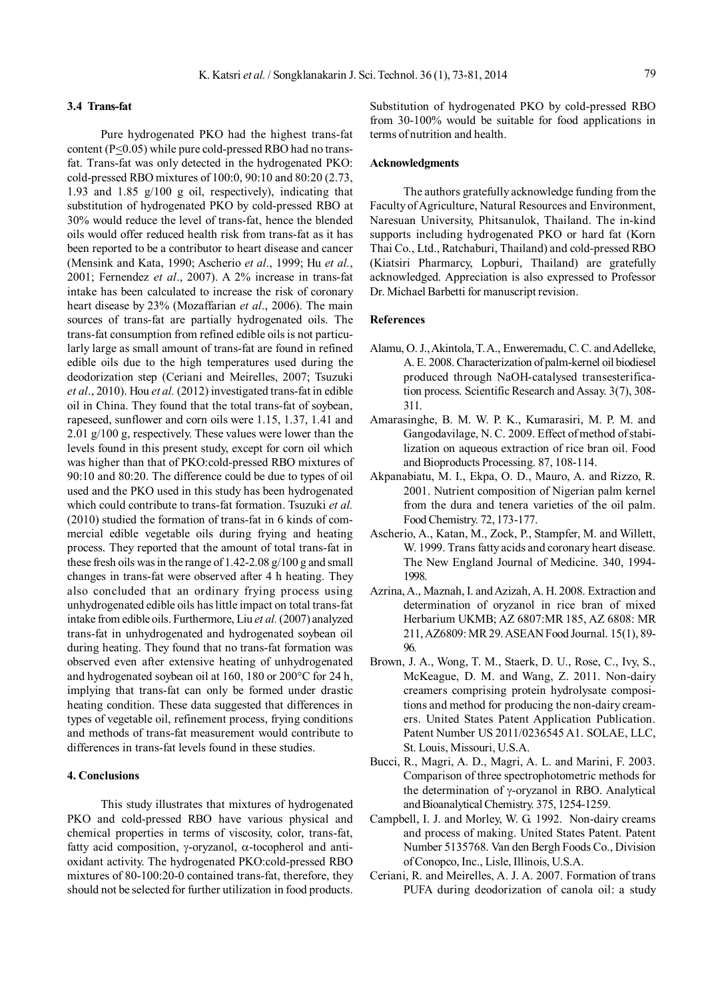#### **3.4 Trans-fat**

Pure hydrogenated PKO had the highest trans-fat content ( $P \le 0.05$ ) while pure cold-pressed RBO had no transfat. Trans-fat was only detected in the hydrogenated PKO: cold-pressed RBO mixtures of 100:0, 90:10 and 80:20 (2.73, 1.93 and 1.85 g/100 g oil, respectively), indicating that substitution of hydrogenated PKO by cold-pressed RBO at 30% would reduce the level of trans-fat, hence the blended oils would offer reduced health risk from trans-fat as it has been reported to be a contributor to heart disease and cancer (Mensink and Kata, 1990; Ascherio *et al*., 1999; Hu *et al.*, 2001; Fernendez *et al*., 2007). A 2% increase in trans-fat intake has been calculated to increase the risk of coronary heart disease by 23% (Mozaffarian *et al*., 2006). The main sources of trans-fat are partially hydrogenated oils. The trans-fat consumption from refined edible oils is not particularly large as small amount of trans-fat are found in refined edible oils due to the high temperatures used during the deodorization step (Ceriani and Meirelles, 2007; Tsuzuki *et al*., 2010). Hou *et al.* (2012) investigated trans-fat in edible oil in China. They found that the total trans-fat of soybean, rapeseed, sunflower and corn oils were 1.15, 1.37, 1.41 and 2.01 g/100 g, respectively. These values were lower than the levels found in this present study, except for corn oil which was higher than that of PKO:cold-pressed RBO mixtures of 90:10 and 80:20. The difference could be due to types of oil used and the PKO used in this study has been hydrogenated which could contribute to trans-fat formation. Tsuzuki *et al.* (2010) studied the formation of trans-fat in 6 kinds of commercial edible vegetable oils during frying and heating process. They reported that the amount of total trans-fat in these fresh oils was in the range of 1.42-2.08 g/100 g and small changes in trans-fat were observed after 4 h heating. They also concluded that an ordinary frying process using unhydrogenated edible oils has little impact on total trans-fat intake from edible oils. Furthermore, Liu *et al.* (2007) analyzed trans-fat in unhydrogenated and hydrogenated soybean oil during heating. They found that no trans-fat formation was observed even after extensive heating of unhydrogenated and hydrogenated soybean oil at 160, 180 or 200°C for 24 h, implying that trans-fat can only be formed under drastic heating condition. These data suggested that differences in types of vegetable oil, refinement process, frying conditions and methods of trans-fat measurement would contribute to differences in trans-fat levels found in these studies.

## **4. Conclusions**

This study illustrates that mixtures of hydrogenated PKO and cold-pressed RBO have various physical and chemical properties in terms of viscosity, color, trans-fat, fatty acid composition,  $\gamma$ -oryzanol,  $\alpha$ -tocopherol and antioxidant activity. The hydrogenated PKO:cold-pressed RBO mixtures of 80-100:20-0 contained trans-fat, therefore, they should not be selected for further utilization in food products.

Substitution of hydrogenated PKO by cold-pressed RBO from 30-100% would be suitable for food applications in terms of nutrition and health.

## **Acknowledgments**

The authors gratefully acknowledge funding from the Faculty of Agriculture, Natural Resources and Environment, Naresuan University, Phitsanulok, Thailand. The in-kind supports including hydrogenated PKO or hard fat (Korn Thai Co., Ltd., Ratchaburi, Thailand) and cold-pressed RBO (Kiatsiri Pharmarcy, Lopburi, Thailand) are gratefully acknowledged. Appreciation is also expressed to Professor Dr. Michael Barbetti for manuscript revision.

#### **References**

- Alamu, O. J., Akintola, T. A., Enweremadu, C. C. and Adelleke, A. E. 2008. Characterization of palm-kernel oil biodiesel produced through NaOH-catalysed transesterification process. Scientific Research and Assay. 3(7), 308- 311.
- Amarasinghe, B. M. W. P. K., Kumarasiri, M. P. M. and Gangodavilage, N. C. 2009. Effect of method of stabilization on aqueous extraction of rice bran oil. Food and Bioproducts Processing. 87, 108-114.
- Akpanabiatu, M. I., Ekpa, O. D., Mauro, A. and Rizzo, R. 2001. Nutrient composition of Nigerian palm kernel from the dura and tenera varieties of the oil palm. Food Chemistry. 72, 173-177.
- Ascherio, A., Katan, M., Zock, P., Stampfer, M. and Willett, W. 1999. Trans fatty acids and coronary heart disease. The New England Journal of Medicine. 340, 1994- 1998.
- Azrina, A., Maznah, I. and Azizah, A. H. 2008. Extraction and determination of oryzanol in rice bran of mixed Herbarium UKMB; AZ 6807:MR 185, AZ 6808: MR 211, AZ6809: MR 29. ASEAN Food Journal. 15(1), 89- 96.
- Brown, J. A., Wong, T. M., Staerk, D. U., Rose, C., Ivy, S., McKeague, D. M. and Wang, Z. 2011. Non-dairy creamers comprising protein hydrolysate compositions and method for producing the non-dairy creamers. United States Patent Application Publication. Patent Number US 2011/0236545 A1. SOLAE, LLC, St. Louis, Missouri, U.S.A.
- Bucci, R., Magri, A. D., Magri, A. L. and Marini, F. 2003. Comparison of three spectrophotometric methods for the determination of  $\gamma$ -oryzanol in RBO. Analytical and Bioanalytical Chemistry. 375, 1254-1259.
- Campbell, I. J. and Morley, W. G. 1992. Non-dairy creams and process of making. United States Patent. Patent Number 5135768. Van den Bergh Foods Co., Division of Conopco, Inc., Lisle, Illinois, U.S.A.
- Ceriani, R. and Meirelles, A. J. A. 2007. Formation of trans PUFA during deodorization of canola oil: a study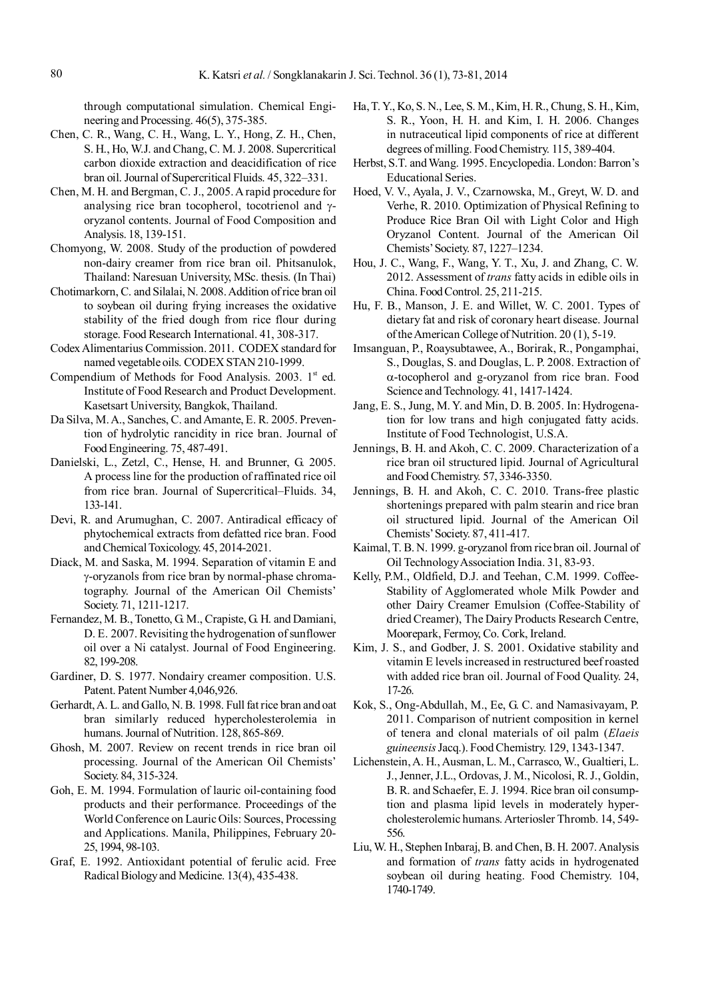through computational simulation. Chemical Engineering and Processing. 46(5), 375-385.

- Chen, C. R., Wang, C. H., Wang, L. Y., Hong, Z. H., Chen, S. H., Ho, W.J. and Chang, C. M. J. 2008. Supercritical carbon dioxide extraction and deacidification of rice bran oil. Journal of Supercritical Fluids. 45, 322–331.
- Chen, M. H. and Bergman, C. J., 2005. A rapid procedure for analysing rice bran tocopherol, to cotrien and  $\gamma$ oryzanol contents. Journal of Food Composition and Analysis. 18, 139-151.
- Chomyong, W. 2008. Study of the production of powdered non-dairy creamer from rice bran oil. Phitsanulok, Thailand: Naresuan University, MSc. thesis. (In Thai)
- Chotimarkorn, C. and Silalai, N. 2008. Addition of rice bran oil to soybean oil during frying increases the oxidative stability of the fried dough from rice flour during storage. Food Research International. 41, 308-317.
- Codex Alimentarius Commission. 2011. CODEX standard for named vegetable oils. CODEX STAN 210-1999.
- Compendium of Methods for Food Analysis. 2003.  $1<sup>st</sup>$  ed. Institute of Food Research and Product Development. Kasetsart University, Bangkok, Thailand.
- Da Silva, M. A., Sanches, C. and Amante, E. R. 2005. Prevention of hydrolytic rancidity in rice bran. Journal of Food Engineering. 75, 487-491.
- Danielski, L., Zetzl, C., Hense, H. and Brunner, G. 2005. A process line for the production of raffinated rice oil from rice bran. Journal of Supercritical–Fluids. 34, 133-141.
- Devi, R. and Arumughan, C. 2007. Antiradical efficacy of phytochemical extracts from defatted rice bran. Food and Chemical Toxicology. 45, 2014-2021.
- Diack, M. and Saska, M. 1994. Separation of vitamin E and -oryzanols from rice bran by normal-phase chromatography. Journal of the American Oil Chemists' Society. 71, 1211-1217.
- Fernandez, M. B., Tonetto, G. M., Crapiste, G. H. and Damiani, D. E. 2007. Revisiting the hydrogenation of sunflower oil over a Ni catalyst. Journal of Food Engineering. 82, 199-208.
- Gardiner, D. S. 1977. Nondairy creamer composition. U.S. Patent. Patent Number 4,046,926.
- Gerhardt, A. L. and Gallo, N. B. 1998. Full fat rice bran and oat bran similarly reduced hypercholesterolemia in humans. Journal of Nutrition. 128, 865-869.
- Ghosh, M. 2007. Review on recent trends in rice bran oil processing. Journal of the American Oil Chemists' Society. 84, 315-324.
- Goh, E. M. 1994. Formulation of lauric oil-containing food products and their performance. Proceedings of the World Conference on Lauric Oils: Sources, Processing and Applications. Manila, Philippines, February 20- 25, 1994, 98-103.
- Graf, E. 1992. Antioxidant potential of ferulic acid. Free Radical Biology and Medicine. 13(4), 435-438.
- Ha, T. Y., Ko, S. N., Lee, S. M., Kim, H. R., Chung, S. H., Kim, S. R., Yoon, H. H. and Kim, I. H. 2006. Changes in nutraceutical lipid components of rice at different degrees of milling. Food Chemistry. 115, 389-404.
- Herbst, S.T. and Wang. 1995. Encyclopedia. London: Barron's Educational Series.
- Hoed, V. V., Ayala, J. V., Czarnowska, M., Greyt, W. D. and Verhe, R. 2010. Optimization of Physical Refining to Produce Rice Bran Oil with Light Color and High Oryzanol Content. Journal of the American Oil Chemists' Society. 87, 1227–1234.
- Hou, J. C., Wang, F., Wang, Y. T., Xu, J. and Zhang, C. W. 2012. Assessment of *trans* fatty acids in edible oils in China. Food Control. 25, 211-215.
- Hu, F. B., Manson, J. E. and Willet, W. C. 2001. Types of dietary fat and risk of coronary heart disease. Journal of the American College of Nutrition. 20 (1), 5-19.
- Imsanguan, P., Roaysubtawee, A., Borirak, R., Pongamphai, S., Douglas, S. and Douglas, L. P. 2008. Extraction of  $\alpha$ -tocopherol and g-oryzanol from rice bran. Food Science and Technology. 41, 1417-1424.
- Jang, E. S., Jung, M. Y. and Min, D. B. 2005. In: Hydrogenation for low trans and high conjugated fatty acids. Institute of Food Technologist, U.S.A.
- Jennings, B. H. and Akoh, C. C. 2009. Characterization of a rice bran oil structured lipid. Journal of Agricultural and Food Chemistry. 57, 3346-3350.
- Jennings, B. H. and Akoh, C. C. 2010. Trans-free plastic shortenings prepared with palm stearin and rice bran oil structured lipid. Journal of the American Oil Chemists' Society. 87, 411-417.
- Kaimal, T. B. N. 1999. g-oryzanol from rice bran oil. Journal of Oil Technology Association India. 31, 83-93.
- Kelly, P.M., Oldfield, D.J. and Teehan, C.M. 1999. Coffee-Stability of Agglomerated whole Milk Powder and other Dairy Creamer Emulsion (Coffee-Stability of dried Creamer), The Dairy Products Research Centre, Moorepark, Fermoy, Co. Cork, Ireland.
- Kim, J. S., and Godber, J. S. 2001. Oxidative stability and vitamin E levels increased in restructured beef roasted with added rice bran oil. Journal of Food Quality. 24, 17-26.
- Kok, S., Ong-Abdullah, M., Ee, G. C. and Namasivayam, P. 2011. Comparison of nutrient composition in kernel of tenera and clonal materials of oil palm (*Elaeis guineensis* Jacq.). Food Chemistry. 129, 1343-1347.
- Lichenstein, A. H., Ausman, L. M., Carrasco, W., Gualtieri, L. J., Jenner, J.L., Ordovas, J. M., Nicolosi, R. J., Goldin, B. R. and Schaefer, E. J. 1994. Rice bran oil consumption and plasma lipid levels in moderately hypercholesterolemic humans. Arteriosler Thromb. 14, 549- 556.
- Liu, W. H., Stephen Inbaraj, B. and Chen, B. H. 2007. Analysis and formation of *trans* fatty acids in hydrogenated soybean oil during heating. Food Chemistry. 104, 1740-1749.